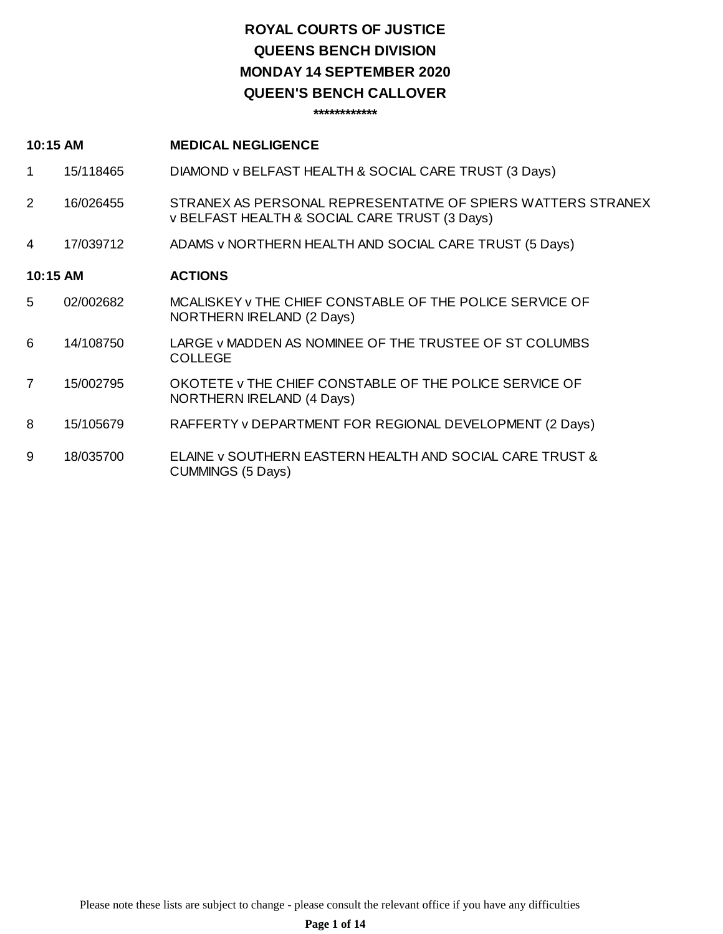## **ROYAL COURTS OF JUSTICE QUEENS BENCH DIVISION QUEEN'S BENCH CALLOVER MONDAY 14 SEPTEMBER 2020**

**\*\*\*\*\*\*\*\*\*\*\*\***

### **10:15 AM MEDICAL NEGLIGENCE**

- 1 15/118465 DIAMOND v BELFAST HEALTH & SOCIAL CARE TRUST (3 Days)
- 2 16/026455 STRANEX AS PERSONAL REPRESENTATIVE OF SPIERS WATTERS STRANEX v BELFAST HEALTH & SOCIAL CARE TRUST (3 Days)
- 4 17/039712 ADAMS v NORTHERN HEALTH AND SOCIAL CARE TRUST (5 Days)

### **10:15 AM ACTIONS**

- 5 02/002682 MCALISKEY v THE CHIEF CONSTABLE OF THE POLICE SERVICE OF NORTHERN IRELAND (2 Days)
- 6 14/108750 LARGE v MADDEN AS NOMINEE OF THE TRUSTEE OF ST COLUMBS COLLEGE
- 7 15/002795 OKOTETE v THE CHIEF CONSTABLE OF THE POLICE SERVICE OF NORTHERN IRELAND (4 Days)
- 8 15/105679 RAFFERTY v DEPARTMENT FOR REGIONAL DEVELOPMENT (2 Days)
- 9 18/035700 ELAINE v SOUTHERN EASTERN HEALTH AND SOCIAL CARE TRUST & CUMMINGS (5 Days)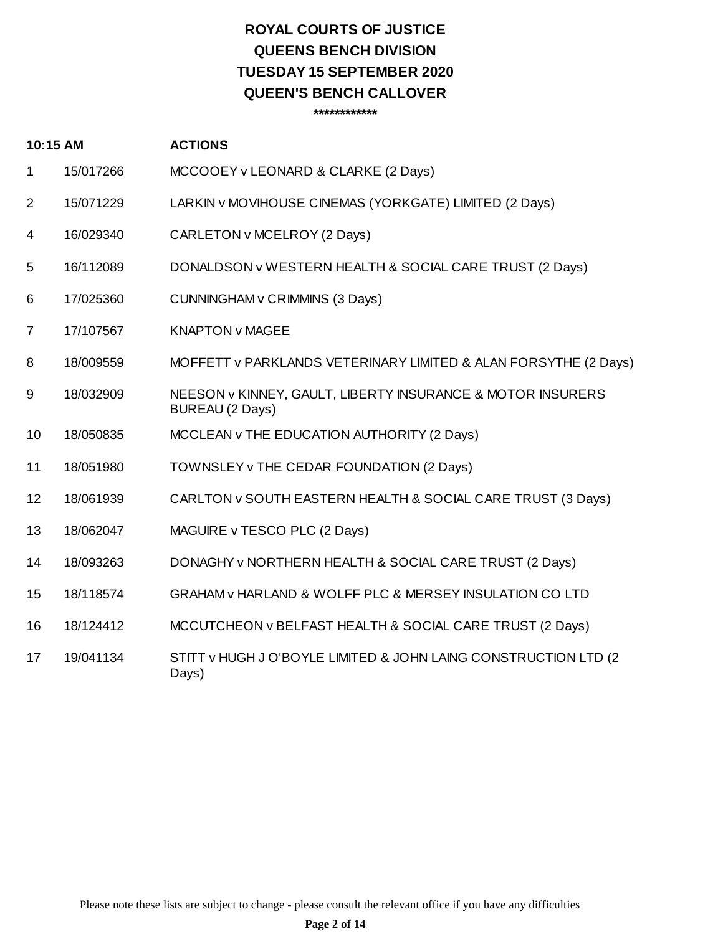## **ROYAL COURTS OF JUSTICE QUEENS BENCH DIVISION QUEEN'S BENCH CALLOVER TUESDAY 15 SEPTEMBER 2020**

**\*\*\*\*\*\*\*\*\*\*\*\***

### **10:15 AM ACTIONS**

- 1 15/017266 MCCOOEY v LEONARD & CLARKE (2 Days)
- 2 15/071229 LARKIN v MOVIHOUSE CINEMAS (YORKGATE) LIMITED (2 Days)
- 4 16/029340 CARLETON v MCELROY (2 Days)
- 5 16/112089 DONALDSON v WESTERN HEALTH & SOCIAL CARE TRUST (2 Days)
- 6 17/025360 CUNNINGHAM v CRIMMINS (3 Days)
- 7 17/107567 KNAPTON v MAGEE
- 8 18/009559 MOFFETT v PARKLANDS VETERINARY LIMITED & ALAN FORSYTHE (2 Days)
- 9 18/032909 NEESON v KINNEY, GAULT, LIBERTY INSURANCE & MOTOR INSURERS BUREAU (2 Days)
- 10 18/050835 MCCLEAN v THE EDUCATION AUTHORITY (2 Days)
- 11 18/051980 TOWNSLEY v THE CEDAR FOUNDATION (2 Days)
- 12 18/061939 CARLTON v SOUTH EASTERN HEALTH & SOCIAL CARE TRUST (3 Days)
- 13 18/062047 MAGUIRE v TESCO PLC (2 Days)
- 14 18/093263 DONAGHY v NORTHERN HEALTH & SOCIAL CARE TRUST (2 Days)
- 15 18/118574 GRAHAM v HARLAND & WOLFF PLC & MERSEY INSULATION CO LTD
- 16 18/124412 MCCUTCHEON v BELFAST HEALTH & SOCIAL CARE TRUST (2 Days)
- 17 19/041134 STITT v HUGH J O'BOYLE LIMITED & JOHN LAING CONSTRUCTION LTD (2 Days)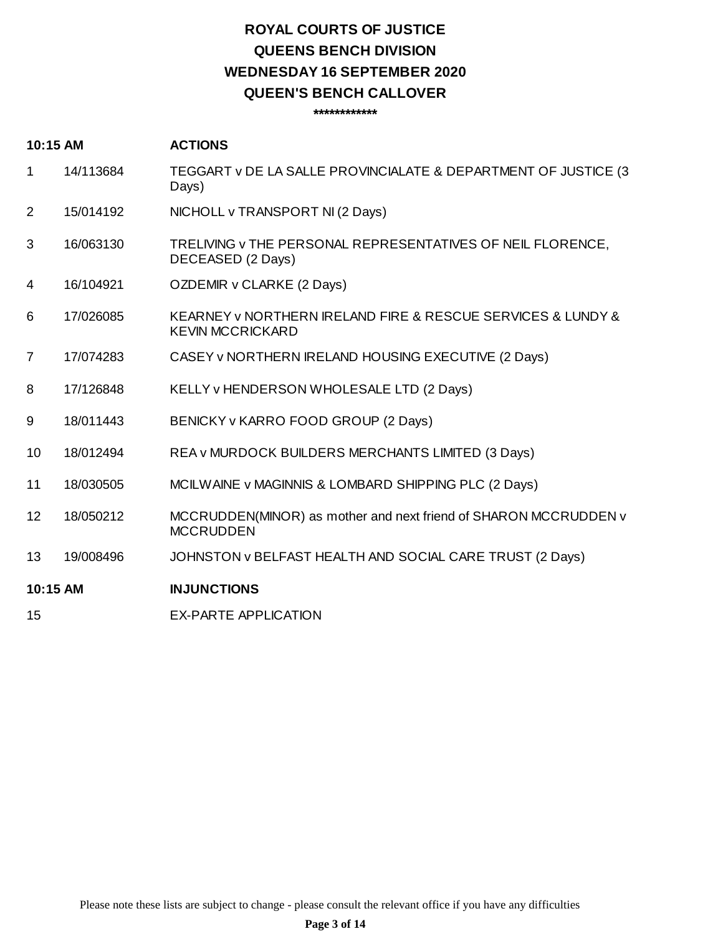## **ROYAL COURTS OF JUSTICE QUEENS BENCH DIVISION QUEEN'S BENCH CALLOVER WEDNESDAY 16 SEPTEMBER 2020**

**\*\*\*\*\*\*\*\*\*\*\*\***

### **10:15 AM ACTIONS**

- 1 14/113684 TEGGART v DE LA SALLE PROVINCIALATE & DEPARTMENT OF JUSTICE (3 Days)
- 2 15/014192 NICHOLL v TRANSPORT NI (2 Days)
- 3 16/063130 TRELIVING v THE PERSONAL REPRESENTATIVES OF NEIL FLORENCE, DECEASED (2 Days)
- 4 16/104921 OZDEMIR v CLARKE (2 Days)
- 6 17/026085 KEARNEY v NORTHERN IRELAND FIRE & RESCUE SERVICES & LUNDY & KEVIN MCCRICKARD
- 7 17/074283 CASEY v NORTHERN IRELAND HOUSING EXECUTIVE (2 Days)
- 8 17/126848 KELLY v HENDERSON WHOLESALE LTD (2 Days)
- 9 18/011443 BENICKY v KARRO FOOD GROUP (2 Days)
- 10 18/012494 REA v MURDOCK BUILDERS MERCHANTS LIMITED (3 Days)
- 11 18/030505 MCILWAINE v MAGINNIS & LOMBARD SHIPPING PLC (2 Days)
- 12 18/050212 MCCRUDDEN(MINOR) as mother and next friend of SHARON MCCRUDDEN v MCCRUDDEN
- 13 19/008496 JOHNSTON v BELFAST HEALTH AND SOCIAL CARE TRUST (2 Days)

### **10:15 AM INJUNCTIONS**

15 EX-PARTE APPLICATION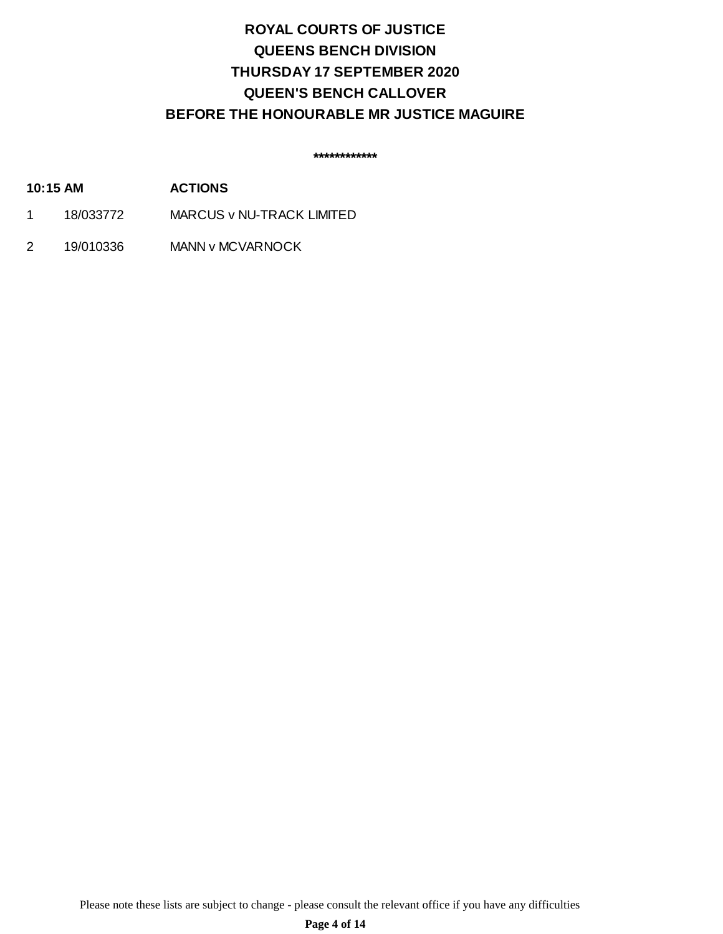## **ROYAL COURTS OF JUSTICE QUEENS BENCH DIVISION QUEEN'S BENCH CALLOVER THURSDAY 17 SEPTEMBER 2020 BEFORE THE HONOURABLE MR JUSTICE MAGUIRE**

**\*\*\*\*\*\*\*\*\*\*\*\***

- **10:15 AM ACTIONS**
- 1 18/033772 MARCUS v NU-TRACK LIMITED
- 2 19/010336 MANN v MCVARNOCK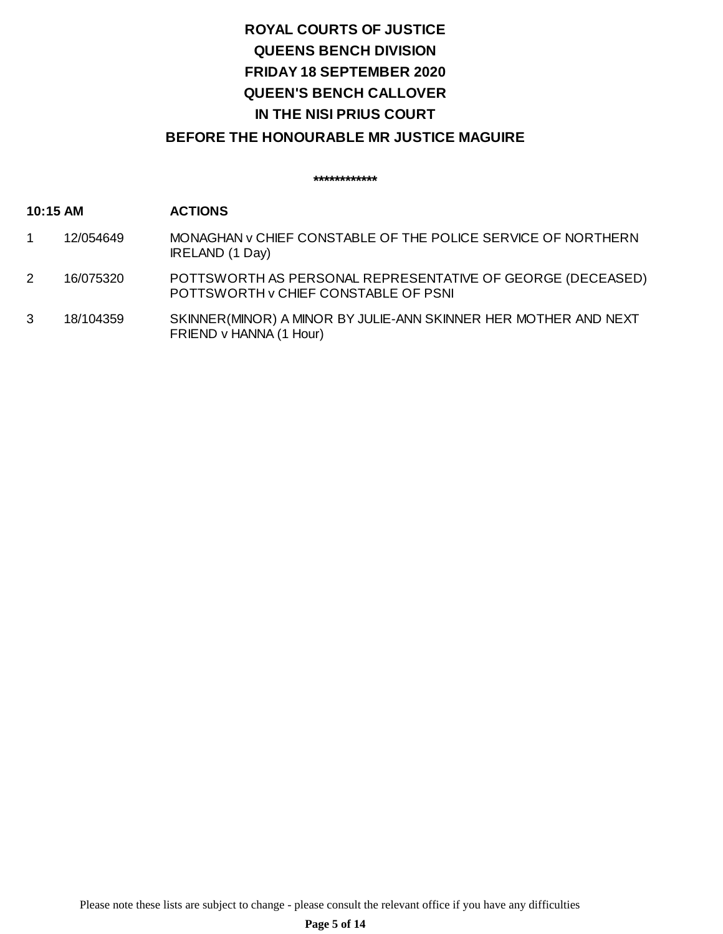# **ROYAL COURTS OF JUSTICE QUEENS BENCH DIVISION QUEEN'S BENCH CALLOVER IN THE NISI PRIUS COURT FRIDAY 18 SEPTEMBER 2020**

## **BEFORE THE HONOURABLE MR JUSTICE MAGUIRE**

**\*\*\*\*\*\*\*\*\*\*\*\***

### **10:15 AM ACTIONS**

- 1 12/054649 MONAGHAN v CHIEF CONSTABLE OF THE POLICE SERVICE OF NORTHERN IRELAND (1 Day)
- 2 16/075320 POTTSWORTH AS PERSONAL REPRESENTATIVE OF GEORGE (DECEASED) POTTSWORTH v CHIEF CONSTABLE OF PSNI
- 3 18/104359 SKINNER(MINOR) A MINOR BY JULIE-ANN SKINNER HER MOTHER AND NEXT FRIEND v HANNA (1 Hour)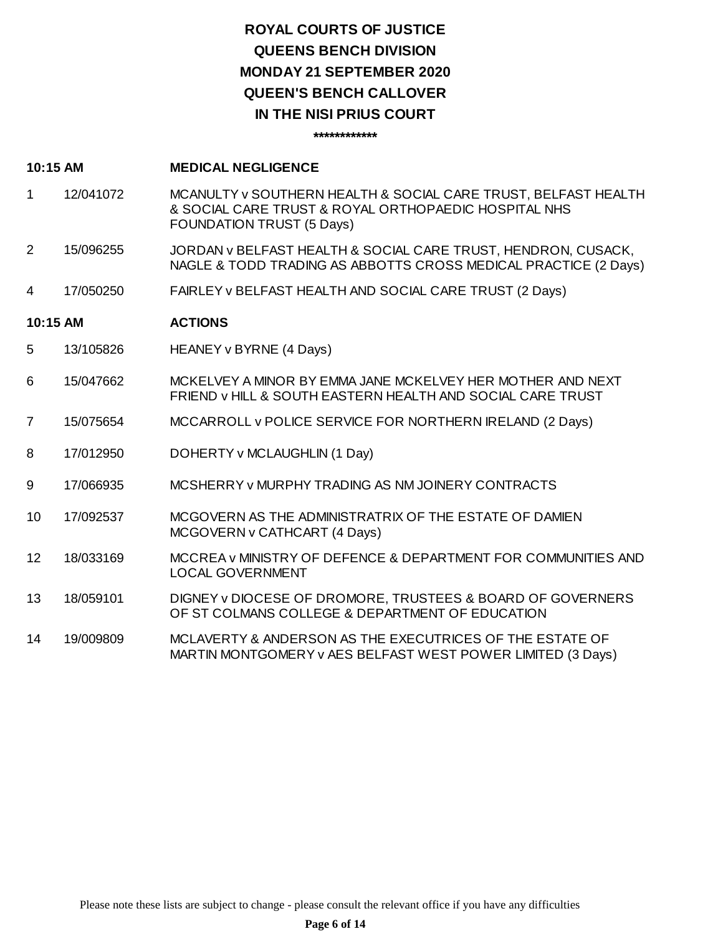## **ROYAL COURTS OF JUSTICE QUEENS BENCH DIVISION QUEEN'S BENCH CALLOVER IN THE NISI PRIUS COURT MONDAY 21 SEPTEMBER 2020**

**\*\*\*\*\*\*\*\*\*\*\*\***

- 1 12/041072 MCANULTY v SOUTHERN HEALTH & SOCIAL CARE TRUST, BELFAST HEALTH & SOCIAL CARE TRUST & ROYAL ORTHOPAEDIC HOSPITAL NHS FOUNDATION TRUST (5 Days)
- 2 15/096255 JORDAN v BELFAST HEALTH & SOCIAL CARE TRUST, HENDRON, CUSACK, NAGLE & TODD TRADING AS ABBOTTS CROSS MEDICAL PRACTICE (2 Days)
- 4 17/050250 FAIRLEY v BELFAST HEALTH AND SOCIAL CARE TRUST (2 Days)

### **10:15 AM ACTIONS**

- 5 13/105826 HEANEY v BYRNE (4 Days)
- 6 15/047662 MCKELVEY A MINOR BY EMMA JANE MCKELVEY HER MOTHER AND NEXT FRIEND v HILL & SOUTH EASTERN HEALTH AND SOCIAL CARE TRUST
- 7 15/075654 MCCARROLL v POLICE SERVICE FOR NORTHERN IRELAND (2 Days)
- 8 17/012950 DOHERTY v MCLAUGHLIN (1 Day)
- 9 17/066935 MCSHERRY v MURPHY TRADING AS NM JOINERY CONTRACTS
- 10 17/092537 MCGOVERN AS THE ADMINISTRATRIX OF THE ESTATE OF DAMIEN MCGOVERN v CATHCART (4 Days)
- 12 18/033169 MCCREA v MINISTRY OF DEFENCE & DEPARTMENT FOR COMMUNITIES AND LOCAL GOVERNMENT
- 13 18/059101 DIGNEY v DIOCESE OF DROMORE, TRUSTEES & BOARD OF GOVERNERS OF ST COLMANS COLLEGE & DEPARTMENT OF EDUCATION
- 14 19/009809 MCLAVERTY & ANDERSON AS THE EXECUTRICES OF THE ESTATE OF MARTIN MONTGOMERY v AES BELFAST WEST POWER LIMITED (3 Days)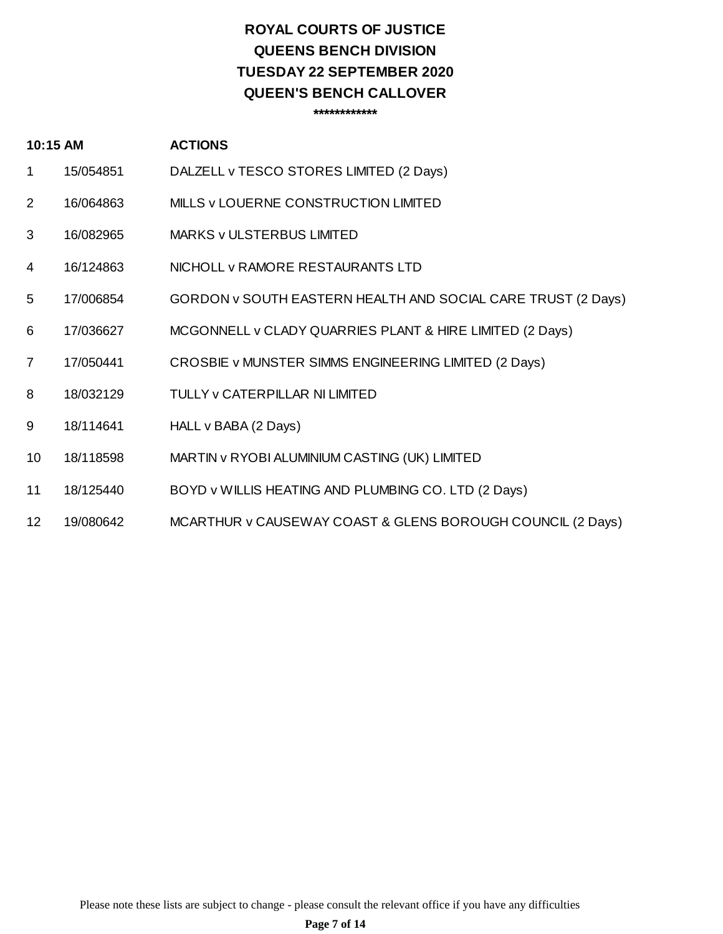## **ROYAL COURTS OF JUSTICE QUEENS BENCH DIVISION QUEEN'S BENCH CALLOVER TUESDAY 22 SEPTEMBER 2020**

**\*\*\*\*\*\*\*\*\*\*\*\***

### **10:15 AM ACTIONS**

- 1 15/054851 DALZELL v TESCO STORES LIMITED (2 Days)
- 2 16/064863 MILLS v LOUERNE CONSTRUCTION LIMITED
- 3 16/082965 MARKS v ULSTERBUS LIMITED
- 4 16/124863 NICHOLL v RAMORE RESTAURANTS LTD
- 5 17/006854 GORDON v SOUTH EASTERN HEALTH AND SOCIAL CARE TRUST (2 Days)
- 6 17/036627 MCGONNELL v CLADY QUARRIES PLANT & HIRE LIMITED (2 Days)
- 7 17/050441 CROSBIE v MUNSTER SIMMS ENGINEERING LIMITED (2 Days)
- 8 18/032129 TULLY v CATERPILLAR NI LIMITED
- 9 18/114641 HALL v BABA (2 Days)
- 10 18/118598 MARTIN v RYOBI ALUMINIUM CASTING (UK) LIMITED
- 11 18/125440 BOYD v WILLIS HEATING AND PLUMBING CO. LTD (2 Days)
- 12 19/080642 MCARTHUR v CAUSEWAY COAST & GLENS BOROUGH COUNCIL (2 Days)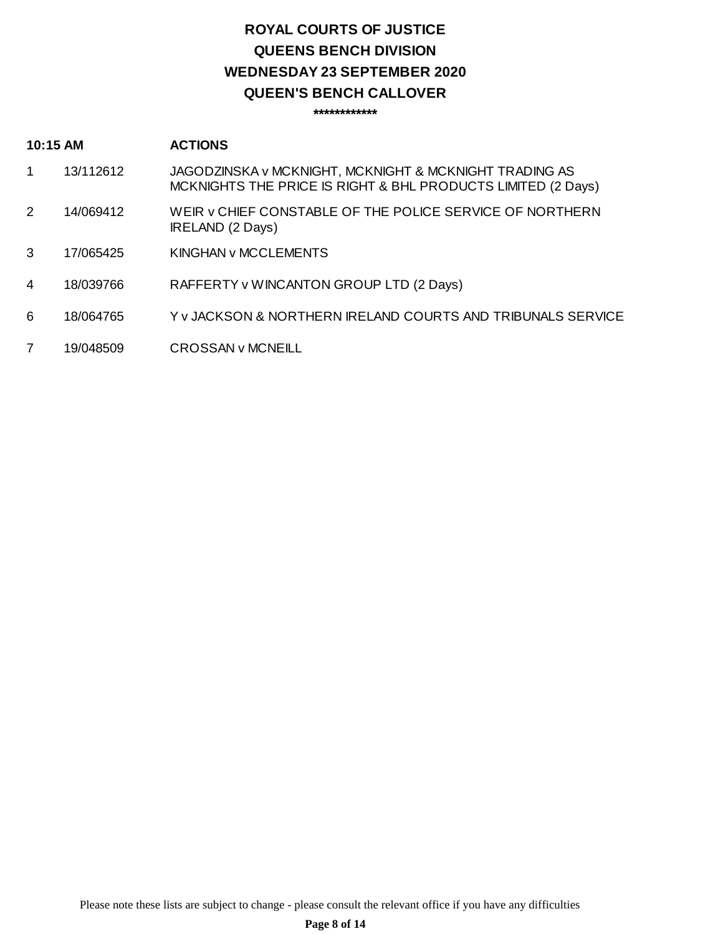## **ROYAL COURTS OF JUSTICE QUEENS BENCH DIVISION QUEEN'S BENCH CALLOVER WEDNESDAY 23 SEPTEMBER 2020**

### **\*\*\*\*\*\*\*\*\*\*\*\***

#### **10:15 AM ACTIONS**

- 1 13/112612 JAGODZINSKA v MCKNIGHT, MCKNIGHT & MCKNIGHT TRADING AS MCKNIGHTS THE PRICE IS RIGHT & BHL PRODUCTS LIMITED (2 Days)
- 2 14/069412 WEIR v CHIEF CONSTABLE OF THE POLICE SERVICE OF NORTHERN IRELAND (2 Days)
- 3 17/065425 KINGHAN v MCCLEMENTS
- 4 18/039766 RAFFERTY v WINCANTON GROUP LTD (2 Days)
- 6 18/064765 Y v JACKSON & NORTHERN IRELAND COURTS AND TRIBUNALS SERVICE
- 7 19/048509 CROSSAN v MCNEILL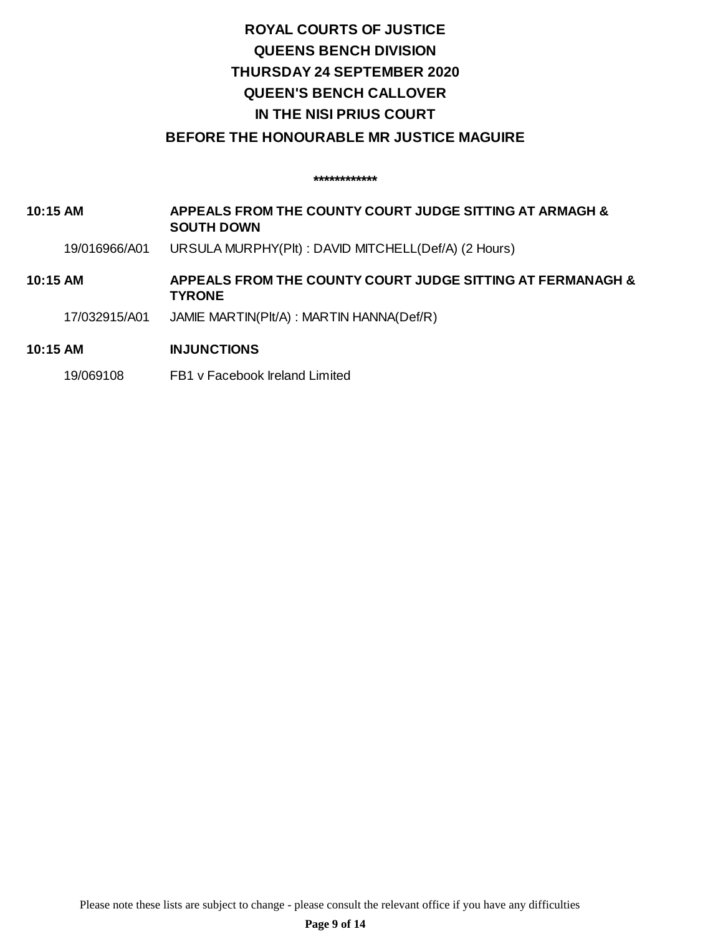# **ROYAL COURTS OF JUSTICE QUEENS BENCH DIVISION QUEEN'S BENCH CALLOVER IN THE NISI PRIUS COURT THURSDAY 24 SEPTEMBER 2020**

## **BEFORE THE HONOURABLE MR JUSTICE MAGUIRE**

**\*\*\*\*\*\*\*\*\*\*\*\***

**10:15 AM APPEALS FROM THE COUNTY COURT JUDGE SITTING AT ARMAGH & SOUTH DOWN**

19/016966/A01 URSULA MURPHY(Plt) : DAVID MITCHELL(Def/A) (2 Hours)

**10:15 AM APPEALS FROM THE COUNTY COURT JUDGE SITTING AT FERMANAGH & TYRONE**

17/032915/A01 JAMIE MARTIN(Plt/A) : MARTIN HANNA(Def/R)

### **10:15 AM INJUNCTIONS**

19/069108 FB1 v Facebook Ireland Limited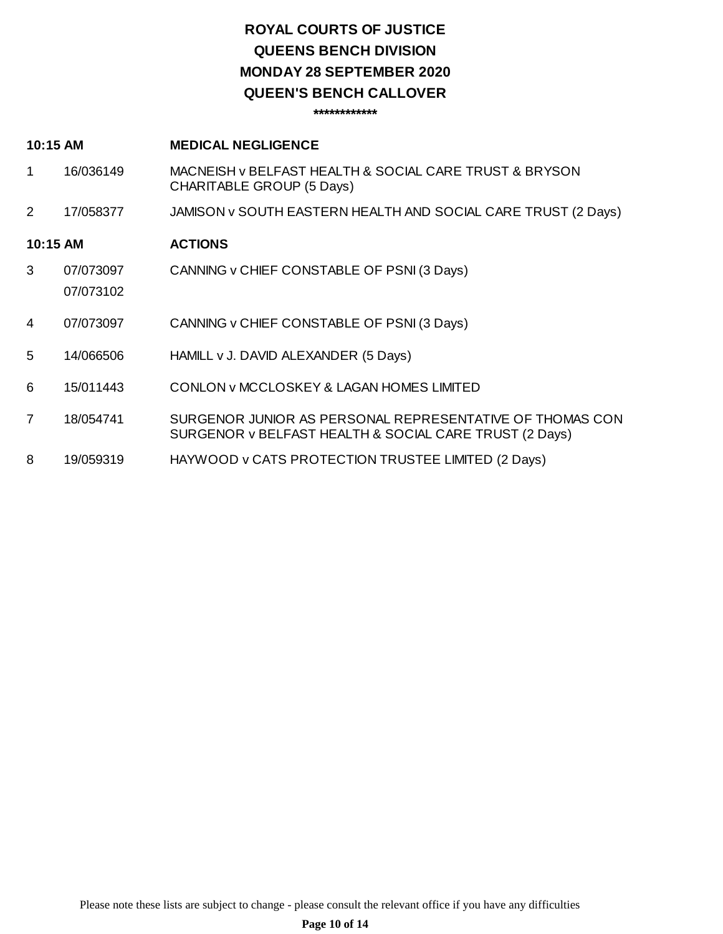## **ROYAL COURTS OF JUSTICE QUEENS BENCH DIVISION QUEEN'S BENCH CALLOVER MONDAY 28 SEPTEMBER 2020**

**\*\*\*\*\*\*\*\*\*\*\*\***

### **10:15 AM MEDICAL NEGLIGENCE**

- 1 16/036149 MACNEISH v BELFAST HEALTH & SOCIAL CARE TRUST & BRYSON CHARITABLE GROUP (5 Days)
- 2 17/058377 JAMISON v SOUTH EASTERN HEALTH AND SOCIAL CARE TRUST (2 Days)

### **10:15 AM ACTIONS**

07/073102

- 3 07/073097 CANNING v CHIEF CONSTABLE OF PSNI (3 Days)
- 4 07/073097 CANNING v CHIEF CONSTABLE OF PSNI (3 Days)
- 5 14/066506 HAMILL v J. DAVID ALEXANDER (5 Days)
- 6 15/011443 CONLON v MCCLOSKEY & LAGAN HOMES LIMITED
- 7 18/054741 SURGENOR JUNIOR AS PERSONAL REPRESENTATIVE OF THOMAS CON SURGENOR v BELFAST HEALTH & SOCIAL CARE TRUST (2 Days)
- 8 19/059319 HAYWOOD v CATS PROTECTION TRUSTEE LIMITED (2 Days)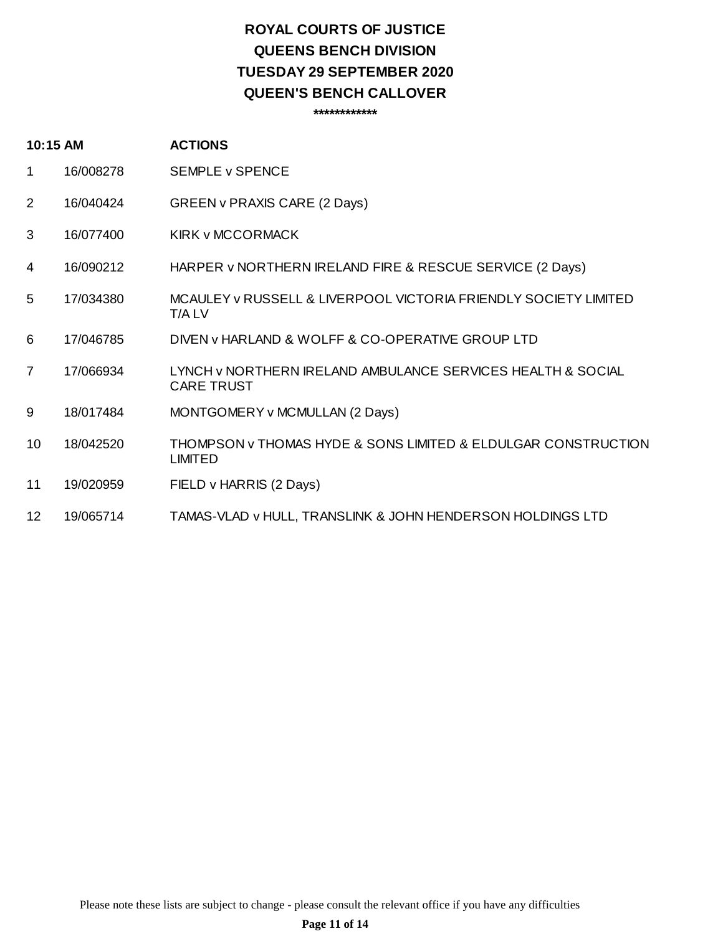## **ROYAL COURTS OF JUSTICE QUEENS BENCH DIVISION QUEEN'S BENCH CALLOVER TUESDAY 29 SEPTEMBER 2020**

**\*\*\*\*\*\*\*\*\*\*\*\***

| 10:15 AM       |           | <b>ACTIONS</b>                                                                   |
|----------------|-----------|----------------------------------------------------------------------------------|
| $\mathbf 1$    | 16/008278 | <b>SEMPLE v SPENCE</b>                                                           |
| 2              | 16/040424 | GREEN v PRAXIS CARE (2 Days)                                                     |
| 3              | 16/077400 | <b>KIRK v MCCORMACK</b>                                                          |
| 4              | 16/090212 | HARPER v NORTHERN IRELAND FIRE & RESCUE SERVICE (2 Days)                         |
| 5              | 17/034380 | MCAULEY v RUSSELL & LIVERPOOL VICTORIA FRIENDLY SOCIETY LIMITED<br>T/A LV        |
| 6              | 17/046785 | DIVEN V HARLAND & WOLFF & CO-OPERATIVE GROUP LTD                                 |
| $\overline{7}$ | 17/066934 | LYNCH V NORTHERN IRELAND AMBULANCE SERVICES HEALTH & SOCIAL<br><b>CARE TRUST</b> |
| 9              | 18/017484 | MONTGOMERY v MCMULLAN (2 Days)                                                   |
| 10             | 18/042520 | THOMPSON v THOMAS HYDE & SONS LIMITED & ELDULGAR CONSTRUCTION<br><b>LIMITED</b>  |
| 11             | 19/020959 | FIELD v HARRIS (2 Days)                                                          |
| 12             | 19/065714 | TAMAS-VLAD v HULL, TRANSLINK & JOHN HENDERSON HOLDINGS LTD                       |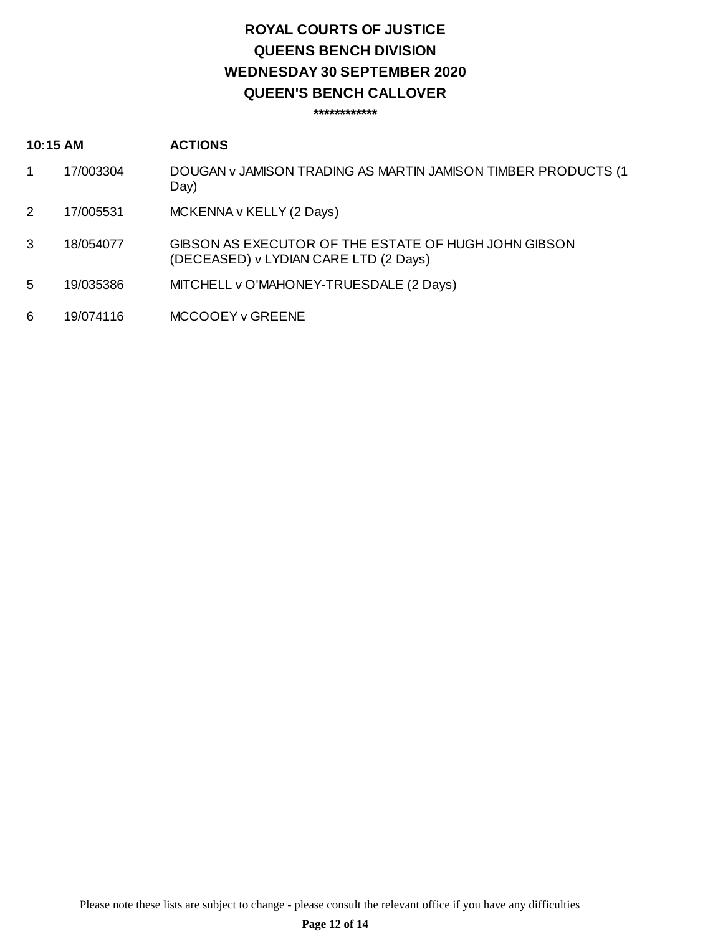## **ROYAL COURTS OF JUSTICE QUEENS BENCH DIVISION QUEEN'S BENCH CALLOVER WEDNESDAY 30 SEPTEMBER 2020**

**\*\*\*\*\*\*\*\*\*\*\*\***

### **10:15 AM ACTIONS**

- 1 17/003304 DOUGAN v JAMISON TRADING AS MARTIN JAMISON TIMBER PRODUCTS (1 Day)
- 2 17/005531 MCKENNA v KELLY (2 Days)
- 3 18/054077 GIBSON AS EXECUTOR OF THE ESTATE OF HUGH JOHN GIBSON (DECEASED) v LYDIAN CARE LTD (2 Days)
- 5 19/035386 MITCHELL v O'MAHONEY-TRUESDALE (2 Days)
- 6 19/074116 MCCOOEY v GREENE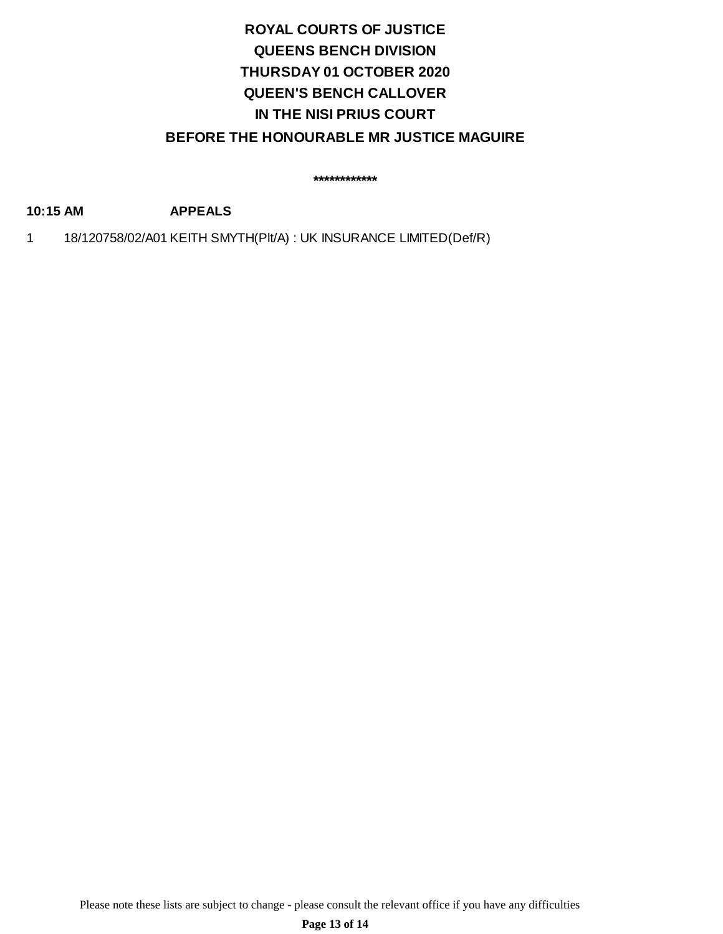## **ROYAL COURTS OF JUSTICE QUEENS BENCH DIVISION QUEEN'S BENCH CALLOVER IN THE NISI PRIUS COURT THURSDAY 01 OCTOBER 2020 BEFORE THE HONOURABLE MR JUSTICE MAGUIRE**

**\*\*\*\*\*\*\*\*\*\*\*\***

**10:15 AM APPEALS**

1 18/120758/02/A01 KEITH SMYTH(Plt/A) : UK INSURANCE LIMITED(Def/R)